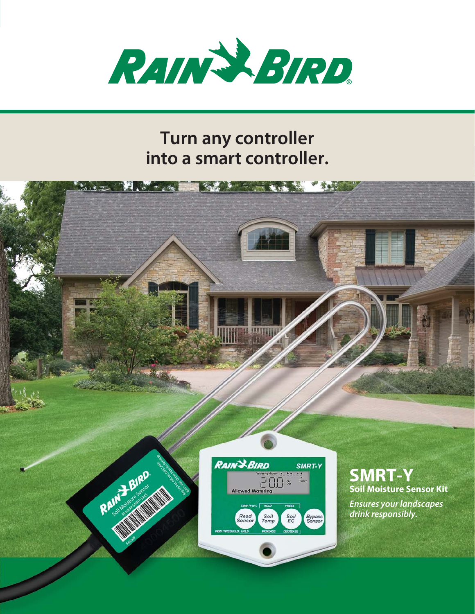

# **Turn any controller into a smart controller.**

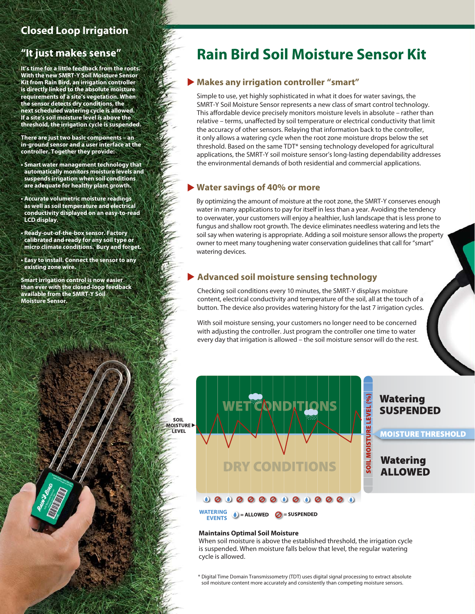## **Closed Loop Irrigation**

## **"It just makes sense"**

**It's time for a little feedback from the roots. With the new SMRT-Y Soil Moisture Sensor Kit from Rain Bird, an irrigation controller is directly linked to the absolute moisture requirements of a site's vegetation. When the sensor detects dry conditions, the next scheduled watering cycle is allowed. If a site's soil moisture level is above the threshold, the irrigation cycle is suspended.**

**There are just two basic components – an in-ground sensor and a user interface at the controller. Together they provide:**

- **Smart water management technology that automatically monitors moisture levels and suspends irrigation when soil conditions are adequate for healthy plant growth.**
- **Accurate volumetric moisture readings as well as soil temperature and electrical conductivity displayed on an easy-to-read LCD display.**
- **Ready-out-of-the-box sensor. Factory calibrated and ready for any soil type or micro climate conditions. Bury and forget.**
- **Easy to install. Connect the sensor to any existing zone wire.**

**Smart irrigation control is now easier than ever with the closed-loop feedback available from the SMRT-Y Soil Moisture Sensor.**

# **Rain Bird Soil Moisture Sensor Kit**

#### **Makes any irrigation controller "smart"**

Simple to use, yet highly sophisticated in what it does for water savings, the SMRT-Y Soil Moisture Sensor represents a new class of smart control technology. This affordable device precisely monitors moisture levels in absolute – rather than relative – terms, unaffected by soil temperature or electrical conductivity that limit the accuracy of other sensors. Relaying that information back to the controller, it only allows a watering cycle when the root zone moisture drops below the set threshold. Based on the same TDT\* sensing technology developed for agricultural applications, the SMRT-Y soil moisture sensor's long-lasting dependability addresses the environmental demands of both residential and commercial applications.

#### **Water savings of 40% or more**

By optimizing the amount of moisture at the root zone, the SMRT-Y conserves enough water in many applications to pay for itself in less than a year. Avoiding the tendency to overwater, your customers will enjoy a healthier, lush landscape that is less prone to fungus and shallow root growth. The device eliminates needless watering and lets the soil say when watering is appropriate. Adding a soil moisture sensor allows the property owner to meet many toughening water conservation guidelines that call for "smart" watering devices.

#### **Advanced soil moisture sensing technology**

Checking soil conditions every 10 minutes, the SMRT-Y displays moisture content, electrical conductivity and temperature of the soil, all at the touch of a button. The device also provides watering history for the last 7 irrigation cycles.

With soil moisture sensing, your customers no longer need to be concerned with adjusting the controller. Just program the controller one time to water every day that irrigation is allowed – the soil moisture sensor will do the rest.



#### **Watering SUSPENDED**

**MOISTURE THRESHOLD** 

**Watering ALLOWED** 

#### **Maintains Optimal Soil Moisture**

SOIL

**LEVEL** 

When soil moisture is above the established threshold, the irrigation cycle is suspended. When moisture falls below that level, the regular watering cycle is allowed.

\* Digital Time Domain Transmissometry (TDT) uses digital signal processing to extract absolute soil moisture content more accurately and consistently than competing moisture sensors.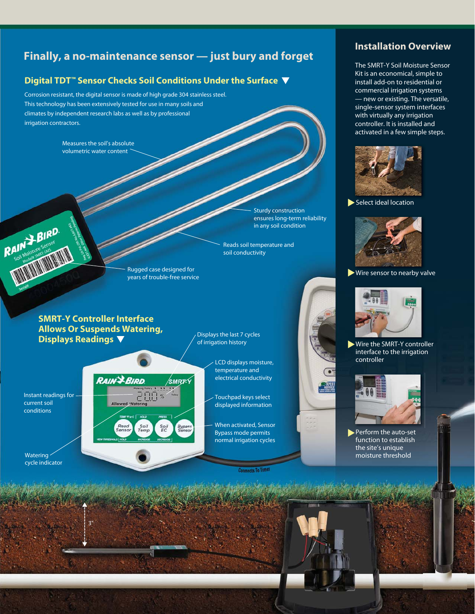# **Finally, a no-maintenance sensor — just bury and forget**

#### **Digital TDT™ Sensor Checks Soil Conditions Under the Surface**

Corrosion resistant, the digital sensor is made of high grade 304 stainless steel. This technology has been extensively tested for use in many soils and climates by independent research labs as well as by professional irrigation contractors.

> Measures the soil's absolute volumetric water content

> > Sturdy construction ensures long-term reliability in any soil condition

Reads soil temperature and soil conductivity

Rugged case designed for years of trouble-free service

smrzý

Bypas

#### **SMRT-Y Controller Interface Allows Or Suspends Watering, Displays Readings**

**RAIN & BIRD** 

Read<br>Sensor

2日日%

Soil<br>EC

Soil<br>Temp

Displays the last 7 cycles of irrigation history

Instant readings for current soil conditions

RAIN + BIRD

3"

Watering cycle indicator LCD displays moisture, temperature and electrical conductivity

Touchpad keys select displayed information

When activated, Sensor Bypass mode permits normal irrigation cycles

 $55$ 



The SMRT-Y Soil Moisture Sensor Kit is an economical, simple to install add-on to residential or commercial irrigation systems — new or existing. The versatile, single-sensor system interfaces with virtually any irrigation controller. It is installed and activated in a few simple steps.



Select ideal location



Wire sensor to nearby valve



Wire the SMRT-Y controller interface to the irrigation controller



Perform the auto-set function to establish the site's unique moisture threshold